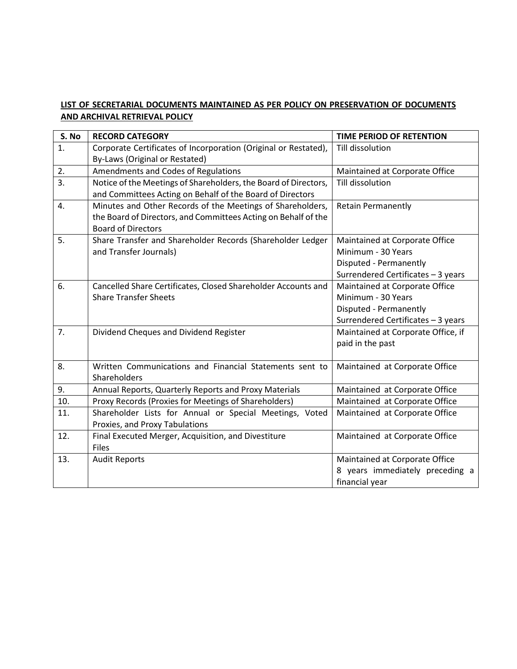## **LIST OF SECRETARIAL DOCUMENTS MAINTAINED AS PER POLICY ON PRESERVATION OF DOCUMENTS AND ARCHIVAL RETRIEVAL POLICY**

| S. No | <b>RECORD CATEGORY</b>                                          | <b>TIME PERIOD OF RETENTION</b>    |
|-------|-----------------------------------------------------------------|------------------------------------|
| 1.    | Corporate Certificates of Incorporation (Original or Restated), | Till dissolution                   |
|       | By-Laws (Original or Restated)                                  |                                    |
| 2.    | Amendments and Codes of Regulations                             | Maintained at Corporate Office     |
| 3.    | Notice of the Meetings of Shareholders, the Board of Directors, | Till dissolution                   |
|       | and Committees Acting on Behalf of the Board of Directors       |                                    |
| 4.    | Minutes and Other Records of the Meetings of Shareholders,      | <b>Retain Permanently</b>          |
|       | the Board of Directors, and Committees Acting on Behalf of the  |                                    |
|       | <b>Board of Directors</b>                                       |                                    |
| 5.    | Share Transfer and Shareholder Records (Shareholder Ledger      | Maintained at Corporate Office     |
|       | and Transfer Journals)                                          | Minimum - 30 Years                 |
|       |                                                                 | Disputed - Permanently             |
|       |                                                                 | Surrendered Certificates - 3 years |
| 6.    | Cancelled Share Certificates, Closed Shareholder Accounts and   | Maintained at Corporate Office     |
|       | <b>Share Transfer Sheets</b>                                    | Minimum - 30 Years                 |
|       |                                                                 | Disputed - Permanently             |
|       |                                                                 | Surrendered Certificates - 3 years |
| 7.    | Dividend Cheques and Dividend Register                          | Maintained at Corporate Office, if |
|       |                                                                 | paid in the past                   |
|       |                                                                 |                                    |
| 8.    | Written Communications and Financial Statements sent to         | Maintained at Corporate Office     |
|       | Shareholders                                                    |                                    |
| 9.    | Annual Reports, Quarterly Reports and Proxy Materials           | Maintained at Corporate Office     |
| 10.   | Proxy Records (Proxies for Meetings of Shareholders)            | Maintained at Corporate Office     |
| 11.   | Shareholder Lists for Annual or Special Meetings, Voted         | Maintained at Corporate Office     |
|       | Proxies, and Proxy Tabulations                                  |                                    |
| 12.   | Final Executed Merger, Acquisition, and Divestiture             | Maintained at Corporate Office     |
|       | <b>Files</b>                                                    |                                    |
| 13.   | <b>Audit Reports</b>                                            | Maintained at Corporate Office     |
|       |                                                                 | 8 years immediately preceding a    |
|       |                                                                 | financial year                     |